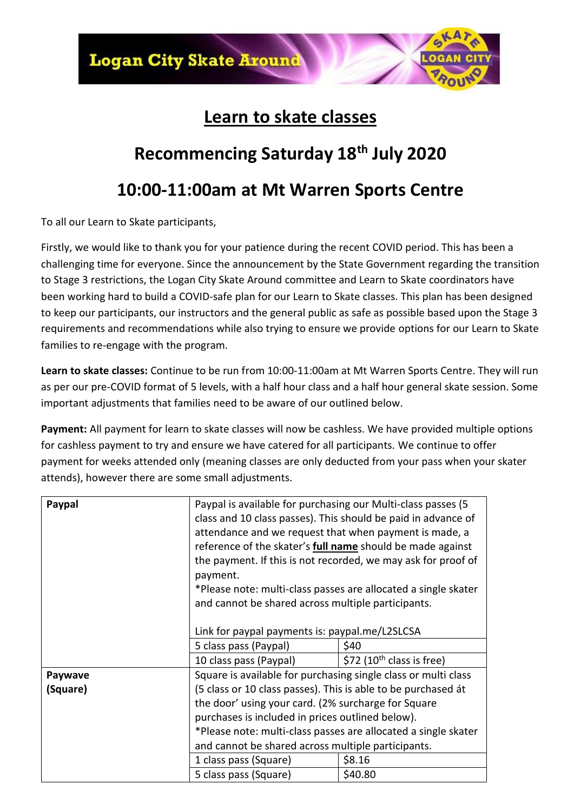

## **Learn to skate classes**

## **Recommencing Saturday 18th July 2020**

## **10:00-11:00am at Mt Warren Sports Centre**

To all our Learn to Skate participants,

Firstly, we would like to thank you for your patience during the recent COVID period. This has been a challenging time for everyone. Since the announcement by the State Government regarding the transition to Stage 3 restrictions, the Logan City Skate Around committee and Learn to Skate coordinators have been working hard to build a COVID-safe plan for our Learn to Skate classes. This plan has been designed to keep our participants, our instructors and the general public as safe as possible based upon the Stage 3 requirements and recommendations while also trying to ensure we provide options for our Learn to Skate families to re-engage with the program.

**Learn to skate classes:** Continue to be run from 10:00-11:00am at Mt Warren Sports Centre. They will run as per our pre-COVID format of 5 levels, with a half hour class and a half hour general skate session. Some important adjustments that families need to be aware of our outlined below.

**Payment:** All payment for learn to skate classes will now be cashless. We have provided multiple options for cashless payment to try and ensure we have catered for all participants. We continue to offer payment for weeks attended only (meaning classes are only deducted from your pass when your skater attends), however there are some small adjustments.

| Paypal   | Paypal is available for purchasing our Multi-class passes (5<br>class and 10 class passes). This should be paid in advance of<br>attendance and we request that when payment is made, a<br>reference of the skater's <b>full name</b> should be made against<br>the payment. If this is not recorded, we may ask for proof of<br>payment.<br>*Please note: multi-class passes are allocated a single skater<br>and cannot be shared across multiple participants.<br>Link for paypal payments is: paypal.me/L2SLCSA |                                       |
|----------|---------------------------------------------------------------------------------------------------------------------------------------------------------------------------------------------------------------------------------------------------------------------------------------------------------------------------------------------------------------------------------------------------------------------------------------------------------------------------------------------------------------------|---------------------------------------|
|          | 5 class pass (Paypal)                                                                                                                                                                                                                                                                                                                                                                                                                                                                                               | \$40                                  |
|          | 10 class pass (Paypal)                                                                                                                                                                                                                                                                                                                                                                                                                                                                                              | \$72 (10 <sup>th</sup> class is free) |
| Paywave  | Square is available for purchasing single class or multi class                                                                                                                                                                                                                                                                                                                                                                                                                                                      |                                       |
| (Square) | (5 class or 10 class passes). This is able to be purchased át                                                                                                                                                                                                                                                                                                                                                                                                                                                       |                                       |
|          | the door' using your card. (2% surcharge for Square<br>purchases is included in prices outlined below).<br>*Please note: multi-class passes are allocated a single skater<br>and cannot be shared across multiple participants.                                                                                                                                                                                                                                                                                     |                                       |
|          |                                                                                                                                                                                                                                                                                                                                                                                                                                                                                                                     |                                       |
|          |                                                                                                                                                                                                                                                                                                                                                                                                                                                                                                                     |                                       |
|          |                                                                                                                                                                                                                                                                                                                                                                                                                                                                                                                     |                                       |
|          |                                                                                                                                                                                                                                                                                                                                                                                                                                                                                                                     |                                       |
|          | 1 class pass (Square)                                                                                                                                                                                                                                                                                                                                                                                                                                                                                               | \$8.16                                |
|          | 5 class pass (Square)                                                                                                                                                                                                                                                                                                                                                                                                                                                                                               | \$40.80                               |